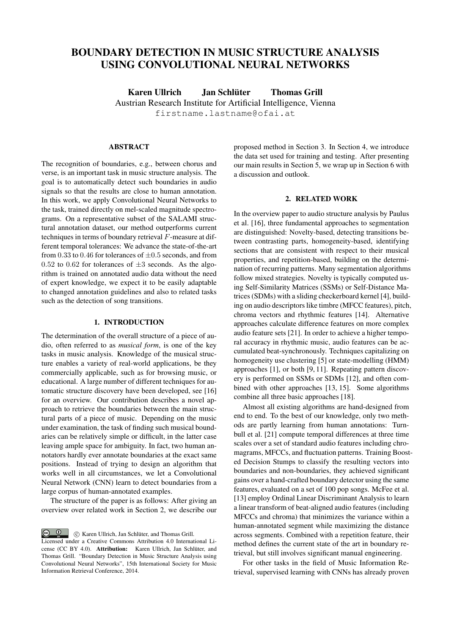# BOUNDARY DETECTION IN MUSIC STRUCTURE ANALYSIS USING CONVOLUTIONAL NEURAL NETWORKS

Karen Ullrich Jan Schlüter Thomas Grill [Austrian Research Institute for Artificial Intelligence, Vienna](http://www.ofai.at) firstname.lastname@ofai.at

# ABSTRACT

The recognition of boundaries, e.g., between chorus and verse, is an important task in music structure analysis. The goal is to automatically detect such boundaries in audio signals so that the results are close to human annotation. In this work, we apply Convolutional Neural Networks to the task, trained directly on mel-scaled magnitude spectrograms. On a representative subset of the SALAMI structural annotation dataset, our method outperforms current techniques in terms of boundary retrieval F-measure at different temporal tolerances: We advance the state-of-the-art from 0.33 to 0.46 for tolerances of  $\pm$ 0.5 seconds, and from  $0.52$  to  $0.62$  for tolerances of  $\pm 3$  seconds. As the algorithm is trained on annotated audio data without the need of expert knowledge, we expect it to be easily adaptable to changed annotation guidelines and also to related tasks such as the detection of song transitions.

#### 1. INTRODUCTION

<span id="page-0-1"></span>The determination of the overall structure of a piece of audio, often referred to as *musical form*, is one of the key tasks in music analysis. Knowledge of the musical structure enables a variety of real-world applications, be they commercially applicable, such as for browsing music, or educational. A large number of different techniques for automatic structure discovery have been developed, see [16] for an overview. Our contribution describes a novel approach to retrieve the boundaries between the main structural parts of a piece of music. Depending on the music under examination, the task of finding such musical boundaries can be relatively simple or difficult, in the latter case leaving ample space for ambiguity. In fact, two human annotators hardly ever annotate boundaries at the exact same positions. Instead of trying to design an algorithm that works well in all circumstances, we let a Convolutional Neural Network (CNN) learn to detect boundaries from a large corpus of human-annotated examples.

The structure of the paper is as follows: After giving an overview over related work in Section [2,](#page-0-0) we describe our

**c**  $\bullet$  **c**  $\bullet$  **c** Karen Ullrich, Jan Schlüter, and Thomas Grill. Licensed under a Creative Commons Attribution 4.0 International License (CC BY 4.0). Attribution: Karen Ullrich, Jan Schlüter, and Thomas Grill. "Boundary Detection in Music Structure Analysis using Convolutional Neural Networks", 15th International Society for Music Information Retrieval Conference, 2014.

proposed method in Section [3.](#page-1-0) In Section [4,](#page-2-0) we introduce the data set used for training and testing. After presenting our main results in Section [5,](#page-2-1) we wrap up in Section [6](#page-4-0) with a discussion and outlook.

#### 2. RELATED WORK

<span id="page-0-0"></span>In the overview paper to audio structure analysis by Paulus et al. [16], three fundamental approaches to segmentation are distinguished: Novelty-based, detecting transitions between contrasting parts, homogeneity-based, identifying sections that are consistent with respect to their musical properties, and repetition-based, building on the determination of recurring patterns. Many segmentation algorithms follow mixed strategies. Novelty is typically computed using Self-Similarity Matrices (SSMs) or Self-Distance Matrices (SDMs) with a sliding checkerboard kernel [4], building on audio descriptors like timbre (MFCC features), pitch, chroma vectors and rhythmic features [14]. Alternative approaches calculate difference features on more complex audio feature sets [21]. In order to achieve a higher temporal accuracy in rhythmic music, audio features can be accumulated beat-synchronously. Techniques capitalizing on homogeneity use clustering [5] or state-modelling (HMM) approaches [1], or both [9, 11]. Repeating pattern discovery is performed on SSMs or SDMs [12], and often combined with other approaches [13, 15]. Some algorithms combine all three basic approaches [18].

Almost all existing algorithms are hand-designed from end to end. To the best of our knowledge, only two methods are partly learning from human annotations: Turnbull et al. [21] compute temporal differences at three time scales over a set of standard audio features including chromagrams, MFCCs, and fluctuation patterns. Training Boosted Decision Stumps to classify the resulting vectors into boundaries and non-boundaries, they achieved significant gains over a hand-crafted boundary detector using the same features, evaluated on a set of 100 pop songs. McFee et al. [13] employ Ordinal Linear Discriminant Analysis to learn a linear transform of beat-aligned audio features (including MFCCs and chroma) that minimizes the variance within a human-annotated segment while maximizing the distance across segments. Combined with a repetition feature, their method defines the current state of the art in boundary retrieval, but still involves significant manual engineering.

For other tasks in the field of Music Information Retrieval, supervised learning with CNNs has already proven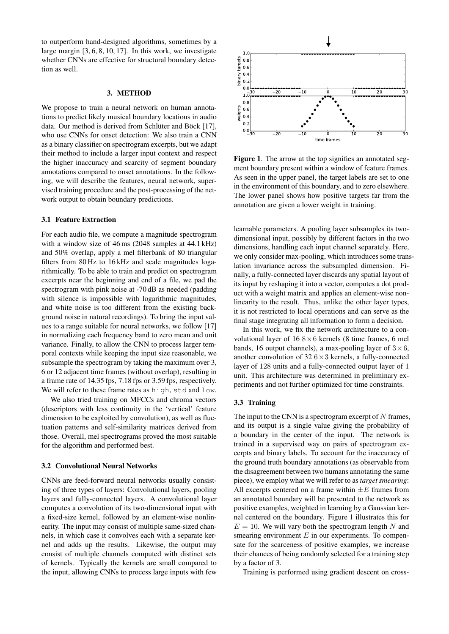to outperform hand-designed algorithms, sometimes by a large margin [3, 6, 8, 10, 17]. In this work, we investigate whether CNNs are effective for structural boundary detection as well.

#### 3. METHOD

<span id="page-1-0"></span>We propose to train a neural network on human annotations to predict likely musical boundary locations in audio data. Our method is derived from Schlüter and Böck [17], who use CNNs for onset detection: We also train a CNN as a binary classifier on spectrogram excerpts, but we adapt their method to include a larger input context and respect the higher inaccuracy and scarcity of segment boundary annotations compared to onset annotations. In the following, we will describe the features, neural network, supervised training procedure and the post-processing of the network output to obtain boundary predictions.

## <span id="page-1-2"></span>3.1 Feature Extraction

For each audio file, we compute a magnitude spectrogram with a window size of 46 ms (2048 samples at 44.1 kHz) and 50% overlap, apply a mel filterbank of 80 triangular filters from 80 Hz to 16 kHz and scale magnitudes logarithmically. To be able to train and predict on spectrogram excerpts near the beginning and end of a file, we pad the spectrogram with pink noise at -70 dB as needed (padding with silence is impossible with logarithmic magnitudes, and white noise is too different from the existing background noise in natural recordings). To bring the input values to a range suitable for neural networks, we follow [17] in normalizing each frequency band to zero mean and unit variance. Finally, to allow the CNN to process larger temporal contexts while keeping the input size reasonable, we subsample the spectrogram by taking the maximum over 3, 6 or 12 adjacent time frames (without overlap), resulting in a frame rate of 14.35 fps, 7.18 fps or 3.59 fps, respectively. We will refer to these frame rates as high, std and low.

We also tried training on MFCCs and chroma vectors (descriptors with less continuity in the 'vertical' feature dimension to be exploited by convolution), as well as fluctuation patterns and self-similarity matrices derived from those. Overall, mel spectrograms proved the most suitable for the algorithm and performed best.

# 3.2 Convolutional Neural Networks

CNNs are feed-forward neural networks usually consisting of three types of layers: Convolutional layers, pooling layers and fully-connected layers. A convolutional layer computes a convolution of its two-dimensional input with a fixed-size kernel, followed by an element-wise nonlinearity. The input may consist of multiple same-sized channels, in which case it convolves each with a separate kernel and adds up the results. Likewise, the output may consist of multiple channels computed with distinct sets of kernels. Typically the kernels are small compared to the input, allowing CNNs to process large inputs with few



<span id="page-1-1"></span>Figure 1. The arrow at the top signifies an annotated segment boundary present within a window of feature frames. As seen in the upper panel, the target labels are set to one in the environment of this boundary, and to zero elsewhere. The lower panel shows how positive targets far from the annotation are given a lower weight in training.

learnable parameters. A pooling layer subsamples its twodimensional input, possibly by different factors in the two dimensions, handling each input channel separately. Here, we only consider max-pooling, which introduces some translation invariance across the subsampled dimension. Finally, a fully-connected layer discards any spatial layout of its input by reshaping it into a vector, computes a dot product with a weight matrix and applies an element-wise nonlinearity to the result. Thus, unlike the other layer types, it is not restricted to local operations and can serve as the final stage integrating all information to form a decision.

In this work, we fix the network architecture to a convolutional layer of  $16 \, 8 \times 6$  kernels (8 time frames, 6 mel bands, 16 output channels), a max-pooling layer of  $3 \times 6$ , another convolution of  $32.6 \times 3$  kernels, a fully-connected layer of 128 units and a fully-connected output layer of 1 unit. This architecture was determined in preliminary experiments and not further optimized for time constraints.

#### <span id="page-1-3"></span>3.3 Training

The input to the CNN is a spectrogram excerpt of  $N$  frames, and its output is a single value giving the probability of a boundary in the center of the input. The network is trained in a supervised way on pairs of spectrogram excerpts and binary labels. To account for the inaccuracy of the ground truth boundary annotations (as observable from the disagreement between two humans annotating the same piece), we employ what we will refer to as *target smearing*: All excerpts centered on a frame within  $\pm E$  frames from an annotated boundary will be presented to the network as positive examples, weighted in learning by a Gaussian kernel centered on the boundary. Figure [1](#page-1-1) illustrates this for  $E = 10$ . We will vary both the spectrogram length N and smearing environment  $E$  in our experiments. To compensate for the scarceness of positive examples, we increase their chances of being randomly selected for a training step by a factor of 3.

Training is performed using gradient descent on cross-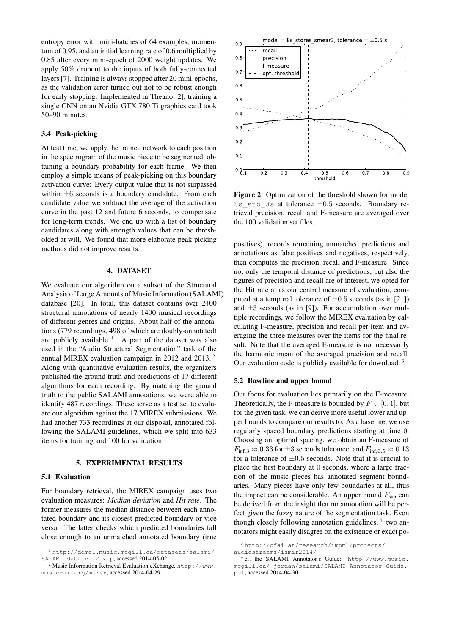entropy error with mini-batches of 64 examples, momentum of 0.95, and an initial learning rate of 0.6 multiplied by 0.85 after every mini-epoch of 2000 weight updates. We apply 50% dropout to the inputs of both fully-connected layers [7]. Training is always stopped after 20 mini-epochs, as the validation error turned out not to be robust enough for early stopping. Implemented in Theano [2], training a single CNN on an Nvidia GTX 780 Ti graphics card took 50–90 minutes.

## <span id="page-2-6"></span>3.4 Peak-picking

At test time, we apply the trained network to each position in the spectrogram of the music piece to be segmented, obtaining a boundary probability for each frame. We then employ a simple means of peak-picking on this boundary activation curve: Every output value that is not surpassed within  $\pm 6$  seconds is a boundary candidate. From each candidate value we subtract the average of the activation curve in the past 12 and future 6 seconds, to compensate for long-term trends. We end up with a list of boundary candidates along with strength values that can be thresholded at will. We found that more elaborate peak picking methods did not improve results.

## 4. DATASET

<span id="page-2-0"></span>We evaluate our algorithm on a subset of the Structural Analysis of Large Amounts of Music Information (SALAMI) database [20]. In total, this dataset contains over 2400 structural annotations of nearly 1400 musical recordings of different genres and origins. About half of the annotations (779 recordings, 498 of which are doubly-annotated) are publicly available.<sup>[1](#page-2-2)</sup> A part of the dataset was also used in the "Audio Structural Segmentation" task of the annual MIREX evaluation campaign in 2012 and 2013. [2](#page-2-3) Along with quantitative evaluation results, the organizers published the ground truth and predictions of 17 different algorithms for each recording. By matching the ground truth to the public SALAMI annotations, we were able to identify 487 recordings. These serve as a test set to evaluate our algorithm against the 17 MIREX submissions. We had another 733 recordings at our disposal, annotated following the SALAMI guidelines, which we split into 633 items for training and 100 for validation.

#### 5. EXPERIMENTAL RESULTS

#### <span id="page-2-1"></span>5.1 Evaluation

For boundary retrieval, the MIREX campaign uses two evaluation measures: *Median deviation* and *Hit rate*. The former measures the median distance between each annotated boundary and its closest predicted boundary or vice versa. The latter checks which predicted boundaries fall close enough to an unmatched annotated boundary (true



<span id="page-2-7"></span>Figure 2. Optimization of the threshold shown for model 8s\_std\_3s at tolerance ±0.5 seconds. Boundary retrieval precision, recall and F-measure are averaged over the 100 validation set files.

positives), records remaining unmatched predictions and annotations as false positives and negatives, respectively, then computes the precision, recall and F-measure. Since not only the temporal distance of predictions, but also the figures of precision and recall are of interest, we opted for the Hit rate at as our central measure of evaluation, computed at a temporal tolerance of  $\pm 0.5$  seconds (as in [21]) and  $\pm 3$  seconds (as in [9]). For accumulation over multiple recordings, we follow the MIREX evaluation by calculating F-measure, precision and recall per item and averaging the three measures over the items for the final result. Note that the averaged F-measure is not necessarily the harmonic mean of the averaged precision and recall. Our evaluation code is publicly available for download.<sup>[3](#page-2-4)</sup>

#### <span id="page-2-8"></span>5.2 Baseline and upper bound

Our focus for evaluation lies primarily on the F-measure. Theoretically, the F-measure is bounded by  $F \in [0, 1]$ , but for the given task, we can derive more useful lower and upper bounds to compare our results to. As a baseline, we use regularly spaced boundary predictions starting at time 0. Choosing an optimal spacing, we obtain an F-measure of  $F_{\text{inf.3}} \approx 0.33$  for  $\pm 3$  seconds tolerance, and  $F_{\text{inf.0.5}} \approx 0.13$ for a tolerance of  $\pm 0.5$  seconds. Note that it is crucial to place the first boundary at 0 seconds, where a large fraction of the music pieces has annotated segment boundaries. Many pieces have only few boundaries at all, thus the impact can be considerable. An upper bound  $F_{\text{sup}}$  can be derived from the insight that no annotation will be perfect given the fuzzy nature of the segmentation task. Even though closely following annotation guidelines, <sup>[4](#page-2-5)</sup> two annotators might easily disagree on the existence or exact po-

<span id="page-2-2"></span><sup>1</sup> [http://ddmal.music.mcgill.ca/datasets/salami/](http://ddmal.music.mcgill.ca/datasets/salami/SALAMI_data_v1.2.zip) [SALAMI\\_data\\_v1.2.zip](http://ddmal.music.mcgill.ca/datasets/salami/SALAMI_data_v1.2.zip), accessed 2014-05-02

<span id="page-2-3"></span><sup>2</sup> Music Information Retrieval Evaluation eXchange, [http://www.](http://www.music-ir.org/mirex) [music-ir.org/mirex](http://www.music-ir.org/mirex), accessed 2014-04-29

<span id="page-2-4"></span><sup>3</sup> [http://ofai.at/research/impml/projects/](http://ofai.at/research/impml/projects/audiostreams/ismir2014/) [audiostreams/ismir2014/](http://ofai.at/research/impml/projects/audiostreams/ismir2014/)

<span id="page-2-5"></span><sup>4</sup> cf. the SALAMI Annotator's Guide: [http://www.music.](http://www.music.mcgill.ca/~jordan/salami/SALAMI-Annotator-Guide.pdf) [mcgill.ca/~jordan/salami/SALAMI-Annotator-Guide.](http://www.music.mcgill.ca/~jordan/salami/SALAMI-Annotator-Guide.pdf) [pdf](http://www.music.mcgill.ca/~jordan/salami/SALAMI-Annotator-Guide.pdf), accessed 2014-04-30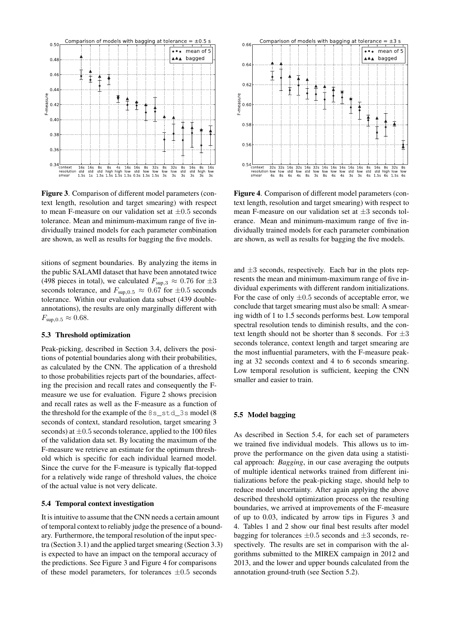

<span id="page-3-0"></span>Figure 3. Comparison of different model parameters (context length, resolution and target smearing) with respect to mean F-measure on our validation set at  $\pm 0.5$  seconds tolerance. Mean and minimum-maximum range of five individually trained models for each parameter combination are shown, as well as results for bagging the five models.

sitions of segment boundaries. By analyzing the items in the public SALAMI dataset that have been annotated twice (498 pieces in total), we calculated  $F_{\text{sup,3}} \approx 0.76$  for  $\pm 3$ seconds tolerance, and  $F_{\text{sup,0.5}} \approx 0.67$  for  $\pm 0.5$  seconds tolerance. Within our evaluation data subset (439 doubleannotations), the results are only marginally different with  $F_{\text{sup},0.5} \approx 0.68.$ 

#### 5.3 Threshold optimization

Peak-picking, described in Section [3.4,](#page-2-6) delivers the positions of potential boundaries along with their probabilities, as calculated by the CNN. The application of a threshold to those probabilities rejects part of the boundaries, affecting the precision and recall rates and consequently the Fmeasure we use for evaluation. Figure [2](#page-2-7) shows precision and recall rates as well as the F-measure as a function of the threshold for the example of the 8s\_std\_3s model (8 seconds of context, standard resolution, target smearing 3 seconds) at  $\pm 0.5$  seconds tolerance, applied to the 100 files of the validation data set. By locating the maximum of the F-measure we retrieve an estimate for the optimum threshold which is specific for each individual learned model. Since the curve for the F-measure is typically flat-topped for a relatively wide range of threshold values, the choice of the actual value is not very delicate.

## <span id="page-3-2"></span>5.4 Temporal context investigation

It is intuitive to assume that the CNN needs a certain amount of temporal context to reliably judge the presence of a boundary. Furthermore, the temporal resolution of the input spectra (Section [3.1\)](#page-1-2) and the applied target smearing (Section [3.3\)](#page-1-3) is expected to have an impact on the temporal accuracy of the predictions. See Figure [3](#page-3-0) and Figure [4](#page-3-1) for comparisons of these model parameters, for tolerances  $\pm 0.5$  seconds



<span id="page-3-1"></span>Figure 4. Comparison of different model parameters (context length, resolution and target smearing) with respect to mean F-measure on our validation set at  $\pm 3$  seconds tolerance. Mean and minimum-maximum range of five individually trained models for each parameter combination are shown, as well as results for bagging the five models.

and  $\pm 3$  seconds, respectively. Each bar in the plots represents the mean and minimum-maximum range of five individual experiments with different random initializations. For the case of only  $\pm 0.5$  seconds of acceptable error, we conclude that target smearing must also be small: A smearing width of 1 to 1.5 seconds performs best. Low temporal spectral resolution tends to diminish results, and the context length should not be shorter than 8 seconds. For  $\pm 3$ seconds tolerance, context length and target smearing are the most influential parameters, with the F-measure peaking at 32 seconds context and 4 to 6 seconds smearing. Low temporal resolution is sufficient, keeping the CNN smaller and easier to train.

#### 5.5 Model bagging

As described in Section [5.4,](#page-3-2) for each set of parameters we trained five individual models. This allows us to improve the performance on the given data using a statistical approach: *Bagging*, in our case averaging the outputs of multiple identical networks trained from different initializations before the peak-picking stage, should help to reduce model uncertainty. After again applying the above described threshold optimization process on the resulting boundaries, we arrived at improvements of the F-measure of up to 0.03, indicated by arrow tips in Figures [3](#page-3-0) and [4.](#page-3-1) Tables [1](#page-4-1) and [2](#page-4-2) show our final best results after model bagging for tolerances  $\pm 0.5$  seconds and  $\pm 3$  seconds, respectively. The results are set in comparison with the algorithms submitted to the MIREX campaign in 2012 and 2013, and the lower and upper bounds calculated from the annotation ground-truth (see Section [5.2\)](#page-2-8).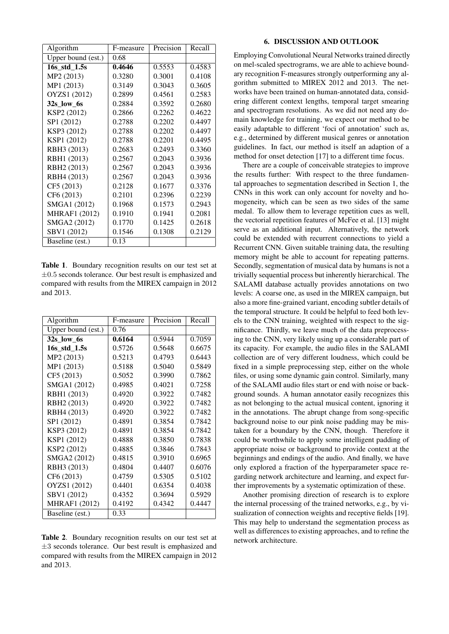| Algorithm               | F-measure | Precision | Recall |
|-------------------------|-----------|-----------|--------|
| Upper bound (est.)      | 0.68      |           |        |
| 16s_std_1.5s            | 0.4646    | 0.5553    | 0.4583 |
| MP2 (2013)              | 0.3280    | 0.3001    | 0.4108 |
| MP1 (2013)              | 0.3149    | 0.3043    | 0.3605 |
| OYZS1 (2012)            | 0.2899    | 0.4561    | 0.2583 |
| 32s low 6s              | 0.2884    | 0.3592    | 0.2680 |
| KSP2 (2012)             | 0.2866    | 0.2262    | 0.4622 |
| SP1 (2012)              | 0.2788    | 0.2202    | 0.4497 |
| KSP3 (2012)             | 0.2788    | 0.2202    | 0.4497 |
| KSP1 (2012)             | 0.2788    | 0.2201    | 0.4495 |
| RBH3 (2013)             | 0.2683    | 0.2493    | 0.3360 |
| RBH1 (2013)             | 0.2567    | 0.2043    | 0.3936 |
| RBH <sub>2</sub> (2013) | 0.2567    | 0.2043    | 0.3936 |
| RBH4 (2013)             | 0.2567    | 0.2043    | 0.3936 |
| CF5 (2013)              | 0.2128    | 0.1677    | 0.3376 |
| CF6 (2013)              | 0.2101    | 0.2396    | 0.2239 |
| SMGA1 (2012)            | 0.1968    | 0.1573    | 0.2943 |
| <b>MHRAF1</b> (2012)    | 0.1910    | 0.1941    | 0.2081 |
| SMGA2 (2012)            | 0.1770    | 0.1425    | 0.2618 |
| SBV1 (2012)             | 0.1546    | 0.1308    | 0.2129 |
| Baseline (est.)         | 0.13      |           |        |

<span id="page-4-1"></span>Table 1. Boundary recognition results on our test set at  $\pm 0.5$  seconds tolerance. Our best result is emphasized and compared with results from the MIREX campaign in 2012 and 2013.

| Algorithm               | F-measure | Precision | Recall |
|-------------------------|-----------|-----------|--------|
| Upper bound (est.)      | 0.76      |           |        |
| 32s low 6s              | 0.6164    | 0.5944    | 0.7059 |
| 16s std 1.5s            | 0.5726    | 0.5648    | 0.6675 |
| MP2 (2013)              | 0.5213    | 0.4793    | 0.6443 |
| MP1 (2013)              | 0.5188    | 0.5040    | 0.5849 |
| CF5 (2013)              | 0.5052    | 0.3990    | 0.7862 |
| SMGA1 (2012)            | 0.4985    | 0.4021    | 0.7258 |
| RBH1 (2013)             | 0.4920    | 0.3922    | 0.7482 |
| RBH <sub>2</sub> (2013) | 0.4920    | 0.3922    | 0.7482 |
| RBH4 (2013)             | 0.4920    | 0.3922    | 0.7482 |
| SP1 (2012)              | 0.4891    | 0.3854    | 0.7842 |
| KSP3 (2012)             | 0.4891    | 0.3854    | 0.7842 |
| KSP1 (2012)             | 0.4888    | 0.3850    | 0.7838 |
| KSP2 (2012)             | 0.4885    | 0.3846    | 0.7843 |
| SMGA2 (2012)            | 0.4815    | 0.3910    | 0.6965 |
| RBH3 (2013)             | 0.4804    | 0.4407    | 0.6076 |
| CF6 (2013)              | 0.4759    | 0.5305    | 0.5102 |
| OYZS1 (2012)            | 0.4401    | 0.6354    | 0.4038 |
| SBV1 (2012)             | 0.4352    | 0.3694    | 0.5929 |
| <b>MHRAF1</b> (2012)    | 0.4192    | 0.4342    | 0.4447 |
| Baseline (est.)         | 0.33      |           |        |

<span id="page-4-2"></span>Table 2. Boundary recognition results on our test set at  $\pm 3$  seconds tolerance. Our best result is emphasized and compared with results from the MIREX campaign in 2012 and 2013.

#### 6. DISCUSSION AND OUTLOOK

<span id="page-4-0"></span>Employing Convolutional Neural Networks trained directly on mel-scaled spectrograms, we are able to achieve boundary recognition F-measures strongly outperforming any algorithm submitted to MIREX 2012 and 2013. The networks have been trained on human-annotated data, considering different context lengths, temporal target smearing and spectrogram resolutions. As we did not need any domain knowledge for training, we expect our method to be easily adaptable to different 'foci of annotation' such as, e.g., determined by different musical genres or annotation guidelines. In fact, our method is itself an adaption of a method for onset detection [17] to a different time focus.

There are a couple of conceivable strategies to improve the results further: With respect to the three fundamental approaches to segmentation described in Section [1,](#page-0-1) the CNNs in this work can only account for novelty and homogeneity, which can be seen as two sides of the same medal. To allow them to leverage repetition cues as well, the vectorial repetition features of McFee et al. [13] might serve as an additional input. Alternatively, the network could be extended with recurrent connections to yield a Recurrent CNN. Given suitable training data, the resulting memory might be able to account for repeating patterns. Secondly, segmentation of musical data by humans is not a trivially sequential process but inherently hierarchical. The SALAMI database actually provides annotations on two levels: A coarse one, as used in the MIREX campaign, but also a more fine-grained variant, encoding subtler details of the temporal structure. It could be helpful to feed both levels to the CNN training, weighted with respect to the significance. Thirdly, we leave much of the data preprocessing to the CNN, very likely using up a considerable part of its capacity. For example, the audio files in the SALAMI collection are of very different loudness, which could be fixed in a simple preprocessing step, either on the whole files, or using some dynamic gain control. Similarly, many of the SALAMI audio files start or end with noise or background sounds. A human annotator easily recognizes this as not belonging to the actual musical content, ignoring it in the annotations. The abrupt change from song-specific background noise to our pink noise padding may be mistaken for a boundary by the CNN, though. Therefore it could be worthwhile to apply some intelligent padding of appropriate noise or background to provide context at the beginnings and endings of the audio. And finally, we have only explored a fraction of the hyperparameter space regarding network architecture and learning, and expect further improvements by a systematic optimization of these.

Another promising direction of research is to explore the internal processing of the trained networks, e.g., by visualization of connection weights and receptive fields [19]. This may help to understand the segmentation process as well as differences to existing approaches, and to refine the network architecture.